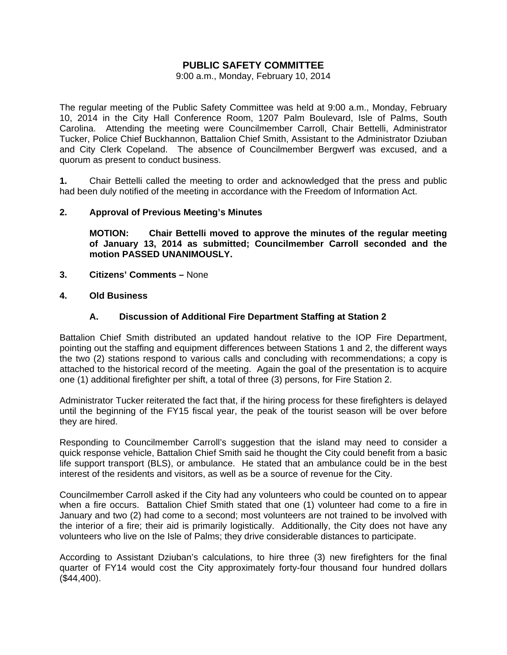## **PUBLIC SAFETY COMMITTEE**

9:00 a.m., Monday, February 10, 2014

The regular meeting of the Public Safety Committee was held at 9:00 a.m., Monday, February 10, 2014 in the City Hall Conference Room, 1207 Palm Boulevard, Isle of Palms, South Carolina. Attending the meeting were Councilmember Carroll, Chair Bettelli, Administrator Tucker, Police Chief Buckhannon, Battalion Chief Smith, Assistant to the Administrator Dziuban and City Clerk Copeland. The absence of Councilmember Bergwerf was excused, and a quorum as present to conduct business.

**1.** Chair Bettelli called the meeting to order and acknowledged that the press and public had been duly notified of the meeting in accordance with the Freedom of Information Act.

#### **2. Approval of Previous Meeting's Minutes**

 **MOTION: Chair Bettelli moved to approve the minutes of the regular meeting of January 13, 2014 as submitted; Councilmember Carroll seconded and the motion PASSED UNANIMOUSLY.** 

- **3. Citizens' Comments** None
- **4. Old Business**

### **A. Discussion of Additional Fire Department Staffing at Station 2**

Battalion Chief Smith distributed an updated handout relative to the IOP Fire Department, pointing out the staffing and equipment differences between Stations 1 and 2, the different ways the two (2) stations respond to various calls and concluding with recommendations; a copy is attached to the historical record of the meeting. Again the goal of the presentation is to acquire one (1) additional firefighter per shift, a total of three (3) persons, for Fire Station 2.

Administrator Tucker reiterated the fact that, if the hiring process for these firefighters is delayed until the beginning of the FY15 fiscal year, the peak of the tourist season will be over before they are hired.

Responding to Councilmember Carroll's suggestion that the island may need to consider a quick response vehicle, Battalion Chief Smith said he thought the City could benefit from a basic life support transport (BLS), or ambulance. He stated that an ambulance could be in the best interest of the residents and visitors, as well as be a source of revenue for the City.

Councilmember Carroll asked if the City had any volunteers who could be counted on to appear when a fire occurs. Battalion Chief Smith stated that one (1) volunteer had come to a fire in January and two (2) had come to a second; most volunteers are not trained to be involved with the interior of a fire; their aid is primarily logistically. Additionally, the City does not have any volunteers who live on the Isle of Palms; they drive considerable distances to participate.

According to Assistant Dziuban's calculations, to hire three (3) new firefighters for the final quarter of FY14 would cost the City approximately forty-four thousand four hundred dollars (\$44,400).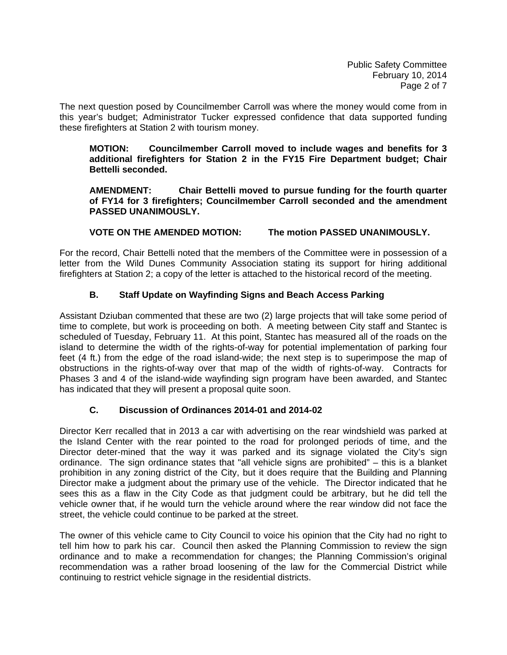The next question posed by Councilmember Carroll was where the money would come from in this year's budget; Administrator Tucker expressed confidence that data supported funding these firefighters at Station 2 with tourism money.

**MOTION: Councilmember Carroll moved to include wages and benefits for 3 additional firefighters for Station 2 in the FY15 Fire Department budget; Chair Bettelli seconded.** 

 **AMENDMENT: Chair Bettelli moved to pursue funding for the fourth quarter of FY14 for 3 firefighters; Councilmember Carroll seconded and the amendment PASSED UNANIMOUSLY.** 

## **VOTE ON THE AMENDED MOTION: The motion PASSED UNANIMOUSLY.**

For the record, Chair Bettelli noted that the members of the Committee were in possession of a letter from the Wild Dunes Community Association stating its support for hiring additional firefighters at Station 2; a copy of the letter is attached to the historical record of the meeting.

## **B. Staff Update on Wayfinding Signs and Beach Access Parking**

Assistant Dziuban commented that these are two (2) large projects that will take some period of time to complete, but work is proceeding on both. A meeting between City staff and Stantec is scheduled of Tuesday, February 11. At this point, Stantec has measured all of the roads on the island to determine the width of the rights-of-way for potential implementation of parking four feet (4 ft.) from the edge of the road island-wide; the next step is to superimpose the map of obstructions in the rights-of-way over that map of the width of rights-of-way. Contracts for Phases 3 and 4 of the island-wide wayfinding sign program have been awarded, and Stantec has indicated that they will present a proposal quite soon.

## **C. Discussion of Ordinances 2014-01 and 2014-02**

Director Kerr recalled that in 2013 a car with advertising on the rear windshield was parked at the Island Center with the rear pointed to the road for prolonged periods of time, and the Director deter-mined that the way it was parked and its signage violated the City's sign ordinance. The sign ordinance states that "all vehicle signs are prohibited" – this is a blanket prohibition in any zoning district of the City, but it does require that the Building and Planning Director make a judgment about the primary use of the vehicle. The Director indicated that he sees this as a flaw in the City Code as that judgment could be arbitrary, but he did tell the vehicle owner that, if he would turn the vehicle around where the rear window did not face the street, the vehicle could continue to be parked at the street.

The owner of this vehicle came to City Council to voice his opinion that the City had no right to tell him how to park his car. Council then asked the Planning Commission to review the sign ordinance and to make a recommendation for changes; the Planning Commission's original recommendation was a rather broad loosening of the law for the Commercial District while continuing to restrict vehicle signage in the residential districts.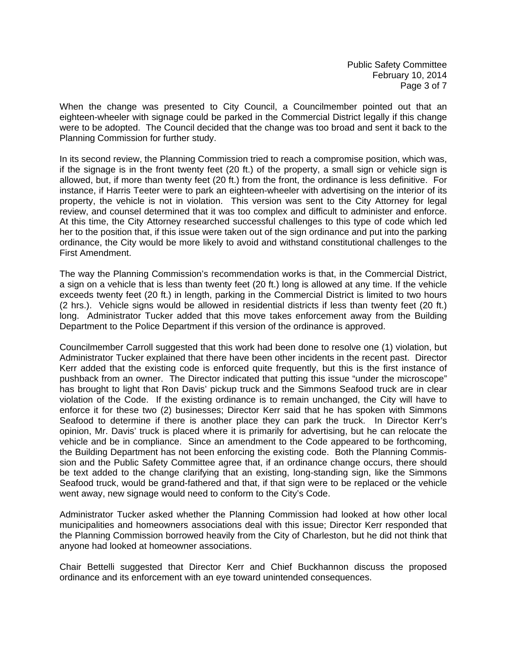When the change was presented to City Council, a Councilmember pointed out that an eighteen-wheeler with signage could be parked in the Commercial District legally if this change were to be adopted. The Council decided that the change was too broad and sent it back to the Planning Commission for further study.

In its second review, the Planning Commission tried to reach a compromise position, which was, if the signage is in the front twenty feet (20 ft.) of the property, a small sign or vehicle sign is allowed, but, if more than twenty feet (20 ft.) from the front, the ordinance is less definitive. For instance, if Harris Teeter were to park an eighteen-wheeler with advertising on the interior of its property, the vehicle is not in violation. This version was sent to the City Attorney for legal review, and counsel determined that it was too complex and difficult to administer and enforce. At this time, the City Attorney researched successful challenges to this type of code which led her to the position that, if this issue were taken out of the sign ordinance and put into the parking ordinance, the City would be more likely to avoid and withstand constitutional challenges to the First Amendment.

The way the Planning Commission's recommendation works is that, in the Commercial District, a sign on a vehicle that is less than twenty feet (20 ft.) long is allowed at any time. If the vehicle exceeds twenty feet (20 ft.) in length, parking in the Commercial District is limited to two hours (2 hrs.). Vehicle signs would be allowed in residential districts if less than twenty feet (20 ft.) long. Administrator Tucker added that this move takes enforcement away from the Building Department to the Police Department if this version of the ordinance is approved.

Councilmember Carroll suggested that this work had been done to resolve one (1) violation, but Administrator Tucker explained that there have been other incidents in the recent past. Director Kerr added that the existing code is enforced quite frequently, but this is the first instance of pushback from an owner. The Director indicated that putting this issue "under the microscope" has brought to light that Ron Davis' pickup truck and the Simmons Seafood truck are in clear violation of the Code. If the existing ordinance is to remain unchanged, the City will have to enforce it for these two (2) businesses; Director Kerr said that he has spoken with Simmons Seafood to determine if there is another place they can park the truck. In Director Kerr's opinion, Mr. Davis' truck is placed where it is primarily for advertising, but he can relocate the vehicle and be in compliance. Since an amendment to the Code appeared to be forthcoming, the Building Department has not been enforcing the existing code. Both the Planning Commission and the Public Safety Committee agree that, if an ordinance change occurs, there should be text added to the change clarifying that an existing, long-standing sign, like the Simmons Seafood truck, would be grand-fathered and that, if that sign were to be replaced or the vehicle went away, new signage would need to conform to the City's Code.

Administrator Tucker asked whether the Planning Commission had looked at how other local municipalities and homeowners associations deal with this issue; Director Kerr responded that the Planning Commission borrowed heavily from the City of Charleston, but he did not think that anyone had looked at homeowner associations.

Chair Bettelli suggested that Director Kerr and Chief Buckhannon discuss the proposed ordinance and its enforcement with an eye toward unintended consequences.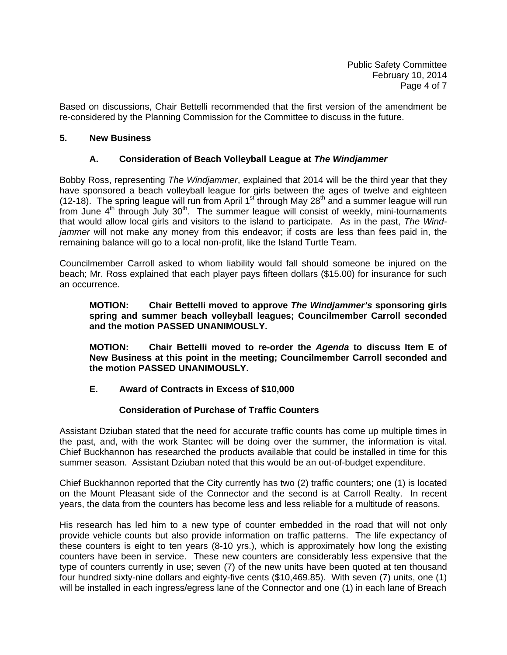Based on discussions, Chair Bettelli recommended that the first version of the amendment be re-considered by the Planning Commission for the Committee to discuss in the future.

#### **5. New Business**

#### **A. Consideration of Beach Volleyball League at** *The Windjammer*

Bobby Ross, representing *The Windjammer*, explained that 2014 will be the third year that they have sponsored a beach volleyball league for girls between the ages of twelve and eighteen (12-18). The spring league will run from April 1<sup>st</sup> through May 28<sup>th</sup> and a summer league will run from June  $4<sup>th</sup>$  through July  $30<sup>th</sup>$ . The summer league will consist of weekly, mini-tournaments that would allow local girls and visitors to the island to participate. As in the past, *The Windjammer* will not make any money from this endeavor; if costs are less than fees paid in, the remaining balance will go to a local non-profit, like the Island Turtle Team.

Councilmember Carroll asked to whom liability would fall should someone be injured on the beach; Mr. Ross explained that each player pays fifteen dollars (\$15.00) for insurance for such an occurrence.

**MOTION: Chair Bettelli moved to approve** *The Windjammer's* **sponsoring girls spring and summer beach volleyball leagues; Councilmember Carroll seconded and the motion PASSED UNANIMOUSLY.** 

 **MOTION: Chair Bettelli moved to re-order the** *Agenda* **to discuss Item E of New Business at this point in the meeting; Councilmember Carroll seconded and the motion PASSED UNANIMOUSLY.** 

### **E. Award of Contracts in Excess of \$10,000**

### **Consideration of Purchase of Traffic Counters**

Assistant Dziuban stated that the need for accurate traffic counts has come up multiple times in the past, and, with the work Stantec will be doing over the summer, the information is vital. Chief Buckhannon has researched the products available that could be installed in time for this summer season. Assistant Dziuban noted that this would be an out-of-budget expenditure.

Chief Buckhannon reported that the City currently has two (2) traffic counters; one (1) is located on the Mount Pleasant side of the Connector and the second is at Carroll Realty. In recent years, the data from the counters has become less and less reliable for a multitude of reasons.

His research has led him to a new type of counter embedded in the road that will not only provide vehicle counts but also provide information on traffic patterns. The life expectancy of these counters is eight to ten years (8-10 yrs.), which is approximately how long the existing counters have been in service. These new counters are considerably less expensive that the type of counters currently in use; seven (7) of the new units have been quoted at ten thousand four hundred sixty-nine dollars and eighty-five cents (\$10,469.85). With seven (7) units, one (1) will be installed in each ingress/egress lane of the Connector and one (1) in each lane of Breach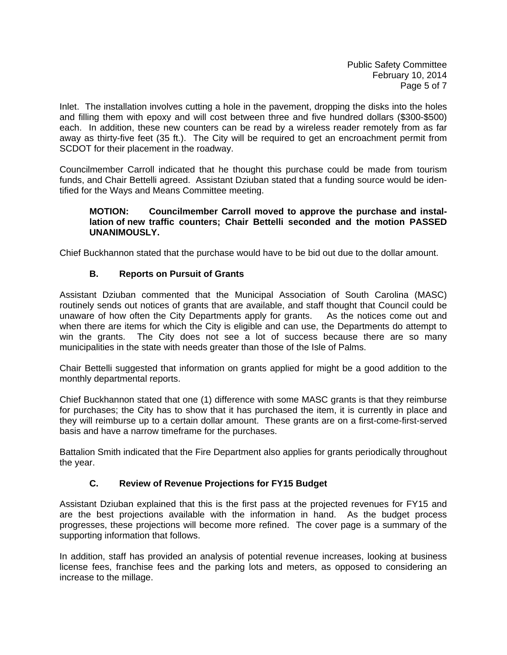Public Safety Committee February 10, 2014 Page 5 of 7

Inlet. The installation involves cutting a hole in the pavement, dropping the disks into the holes and filling them with epoxy and will cost between three and five hundred dollars (\$300-\$500) each. In addition, these new counters can be read by a wireless reader remotely from as far away as thirty-five feet (35 ft.). The City will be required to get an encroachment permit from SCDOT for their placement in the roadway.

Councilmember Carroll indicated that he thought this purchase could be made from tourism funds, and Chair Bettelli agreed. Assistant Dziuban stated that a funding source would be identified for the Ways and Means Committee meeting.

### **MOTION: Councilmember Carroll moved to approve the purchase and instal lation of new traffic counters; Chair Bettelli seconded and the motion PASSED UNANIMOUSLY.**

Chief Buckhannon stated that the purchase would have to be bid out due to the dollar amount.

## **B. Reports on Pursuit of Grants**

Assistant Dziuban commented that the Municipal Association of South Carolina (MASC) routinely sends out notices of grants that are available, and staff thought that Council could be unaware of how often the City Departments apply for grants. As the notices come out and when there are items for which the City is eligible and can use, the Departments do attempt to win the grants. The City does not see a lot of success because there are so many municipalities in the state with needs greater than those of the Isle of Palms.

Chair Bettelli suggested that information on grants applied for might be a good addition to the monthly departmental reports.

Chief Buckhannon stated that one (1) difference with some MASC grants is that they reimburse for purchases; the City has to show that it has purchased the item, it is currently in place and they will reimburse up to a certain dollar amount. These grants are on a first-come-first-served basis and have a narrow timeframe for the purchases.

Battalion Smith indicated that the Fire Department also applies for grants periodically throughout the year.

## **C. Review of Revenue Projections for FY15 Budget**

Assistant Dziuban explained that this is the first pass at the projected revenues for FY15 and are the best projections available with the information in hand. As the budget process progresses, these projections will become more refined. The cover page is a summary of the supporting information that follows.

In addition, staff has provided an analysis of potential revenue increases, looking at business license fees, franchise fees and the parking lots and meters, as opposed to considering an increase to the millage.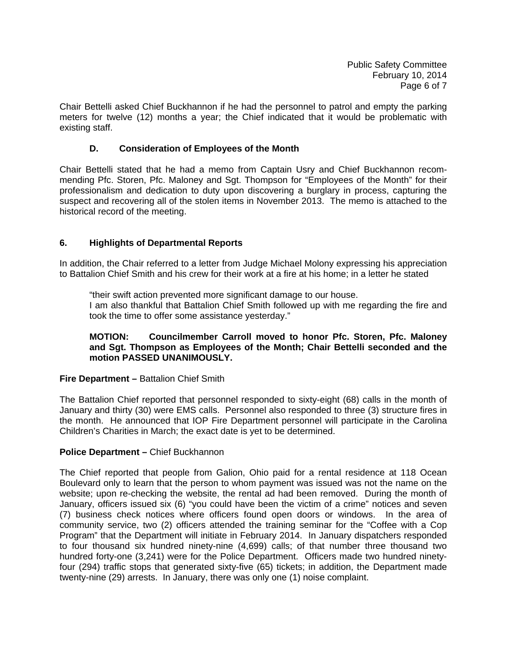Chair Bettelli asked Chief Buckhannon if he had the personnel to patrol and empty the parking meters for twelve (12) months a year; the Chief indicated that it would be problematic with existing staff.

## **D. Consideration of Employees of the Month**

Chair Bettelli stated that he had a memo from Captain Usry and Chief Buckhannon recommending Pfc. Storen, Pfc. Maloney and Sgt. Thompson for "Employees of the Month" for their professionalism and dedication to duty upon discovering a burglary in process, capturing the suspect and recovering all of the stolen items in November 2013. The memo is attached to the historical record of the meeting.

## **6. Highlights of Departmental Reports**

In addition, the Chair referred to a letter from Judge Michael Molony expressing his appreciation to Battalion Chief Smith and his crew for their work at a fire at his home; in a letter he stated

 "their swift action prevented more significant damage to our house. I am also thankful that Battalion Chief Smith followed up with me regarding the fire and took the time to offer some assistance yesterday."

### **MOTION: Councilmember Carroll moved to honor Pfc. Storen, Pfc. Maloney and Sgt. Thompson as Employees of the Month; Chair Bettelli seconded and the motion PASSED UNANIMOUSLY.**

### **Fire Department –** Battalion Chief Smith

The Battalion Chief reported that personnel responded to sixty-eight (68) calls in the month of January and thirty (30) were EMS calls. Personnel also responded to three (3) structure fires in the month. He announced that IOP Fire Department personnel will participate in the Carolina Children's Charities in March; the exact date is yet to be determined.

### **Police Department –** Chief Buckhannon

The Chief reported that people from Galion, Ohio paid for a rental residence at 118 Ocean Boulevard only to learn that the person to whom payment was issued was not the name on the website; upon re-checking the website, the rental ad had been removed. During the month of January, officers issued six (6) "you could have been the victim of a crime" notices and seven (7) business check notices where officers found open doors or windows. In the area of community service, two (2) officers attended the training seminar for the "Coffee with a Cop Program" that the Department will initiate in February 2014. In January dispatchers responded to four thousand six hundred ninety-nine (4,699) calls; of that number three thousand two hundred forty-one (3,241) were for the Police Department. Officers made two hundred ninetyfour (294) traffic stops that generated sixty-five (65) tickets; in addition, the Department made twenty-nine (29) arrests. In January, there was only one (1) noise complaint.